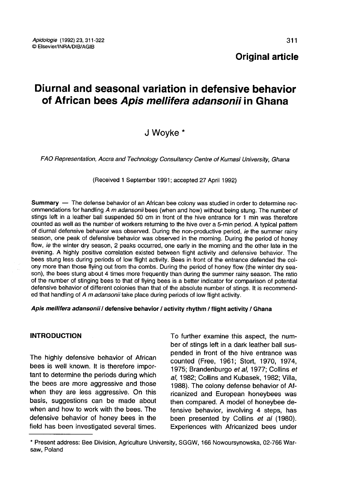Original article

# Diurnal and seasonal variation in defensive behavior of African bees Apis mellifera adansonii in Ghana

J Woyke

FAO Representation, Accra and Technology Consultancy Centre of Kumasi University, Ghana

(Received 1 September 1991; accepted 27 April 1992)

Summary — The defense behavior of an African bee colony was studied in order to determine recommendations for handling A m adansonii bees (when and how) without being stung. The number of stings left in a leather ball suspended 50 cm in front of the hive entrance for 1 min was therefore counted as well as the number of workers returning to the hive over a 5-min period. A typical pattern of diurnal defensive behavior was observed. During the non-productive period, ie the summer rainy season, one peak of defensive behavior was observed in the morning. During the period of honey flow, ie the winter dry season, 2 peaks occurred, one early in the morning and the other late in the evening. A highly positive correlation existed between flight activity and defensive behavior. The bees stung less during periods of low flight activity. Bees in front of the entrance defended the colony more than those flying out from the combs. During the period of honey flow (the winter dry season), the bees stung about 4 times more frequently than during the summer rainy season. The ratio of the number of stinging bees to that of flying bees is a better indicator for comparison of potential defensive behavior of different colonies than that of the absolute number of stings. It is recommended that handling of A m adansonii take place during periods of low flight activity.

#### Apis mellifera adansonii / defensive behavior / activity rhythm / flight activity / Ghana

#### INTRODUCTION

The highly defensive behavior of African bees is well known. It is therefore important to determine the periods during which the bees are more aggressive and those when they are less aggressive. On this basis, suggestions can be made about when and how to work with the bees. The defensive behavior of honey bees in the field has been investigated several times.

To further examine this aspect, the number of stings left in a dark leather ball suspended in front of the hive entrance was counted (Free, 1961; Stort, 1970, 1974, 1975; Brandenburgo et al, 1977; Collins et al, 1982; Collins and Kubasek, 1982; Villa, 1988). The colony defense behavior of Africanized and European honeybees was then compared. A model of honeybee defensive behavior, involving 4 steps, has been presented by Collins et al (1980). Experiences with Africanized bees under

<sup>\*</sup> Present address: Bee Division, Agriculture University, SGGW, 166 Nowoursynowska, 02-766 Warsaw, Poland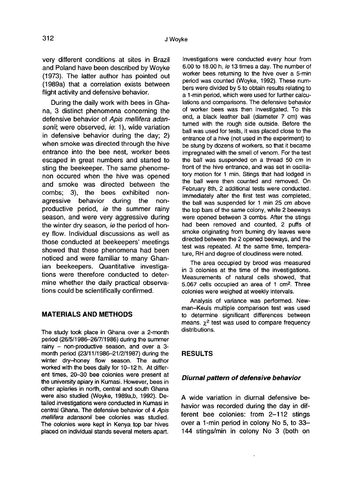very different conditions at sites in Brazil and Poland have been described by Woyke (1973). The latter author has pointed out (1989a) that a correlation exists between flight activity and defensive behavior.

During the daily work with bees in Ghana, 3 distinct phenomena concerning the defensive behavior of Apis mellifera adansonii; were observed, ie: 1), wide variation in defensive behavior during the day; 2) when smoke was directed through the hive entrance into the bee nest, worker bees escaped in great numbers and started to sting the beekeeper. The same phenome non occured when the hive was opened and smoke was directed between the combs; 3), the bees exhibited nonagressive behavior during the nonproductive period, ie the summer rainy season, and were very aggressive during the winter dry season, ie the period of honey flow. Individual discussions as well as those conducted at beekeepers' meetings showed that these phenomena had been noticed and were familiar to many Ghanian beekeepers. Quantitative investigations were therefore conducted to determine whether the daily practical observations could be scientifically confirmed.

#### MATERIALS AND METHODS

The study took place in Ghana over a 2-month period (26/5/1986-26/7/1986) during the summer rainy - non-productive season, and over a 3 month period (23/11/1986-21/2/1987) during the winter dry-honey flow season. The author worked with the bees daily for 10-12 h. At different times, 20-30 bee colonies were present at the university apiary in Kumasi. However, bees in other apiaries in north, central and south Ghana were also studied (Woyke, 1989a,b, 1992). Detailed investigations were conducted in Kumasi in central Ghana. The defensive behavior of 4 Apis mellifera adansonii bee colonies was studied. The colonies were kept in Kenya top bar hives placed on individual stands several meters apart.

Investigations were conducted every hour from 6.00 to 18.00 h, ie 13 times a day. The number of worker bees returning to the hive over a 5-min period was counted (Woyke, 1992). These numbers were divided by 5 to obtain results relating to a 1-min period, which were used for further calculations and comparisons. The defensive behavior of worker bees was then investigated. To this end, a black leather ball (diameter 7 cm) was turned with the rough side outside. Before the ball was used for tests, it was placed close to the entrance of a hive (not used in the experiment) to be stung by dozens of workers, so that it became impregnated with the smell of venom. For the test the ball was suspended on a thread 50 cm in front of the hive entrance, and was set in oscillatory motion for 1 min. Stings that had lodged in the ball were then counted and removed. On February 8th, 2 additional tests were conducted. Immediately after the first test was completed, the ball was suspended for 1 min 25 cm above the top bars of the same colony, while 2 beeways were opened between 3 combs. After the stings had been removed and counted, 2 puffs of smoke originating from burning dry leaves were directed between the 2 opened beeways, and the test was repeated. At the same time, temperature, RH and degree of cloudiness were noted.

The area occupied by brood was measured in 3 colonies at the time of the investigations. Measurements of natural cells showed, that 5.067 cells occupied an area of 1 cm2. Three colonies were weighed at weekly intervals.

Analysis of variance was performed. Newman-Keuls multiple comparison test was used to determine significant differences between colonies were weighed at weekly intervals.<br>Analysis of variance was performed. New-<br>man–Keuls multiple comparison test was used<br>to determine significant differences between<br>means.  $\chi^2$  test was used to compare frequency distributions.

### RESULTS

#### Diurnal pattern of defensive behavior

A wide variation in diurnal defensive behavior was recorded during the day in different bee colonies: from 2-112 stings over a 1-min period in colony No 5, to 33- 144 stings/min in colony No 3 (both on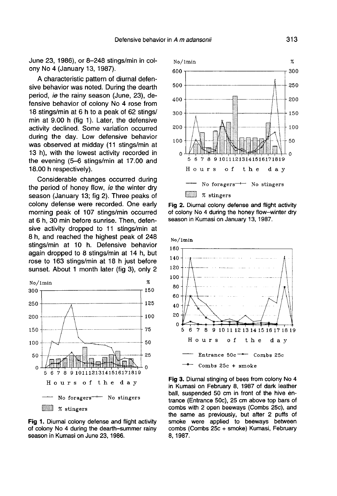June 23, 1986), or 8-248 stings/min in colony No 4 (January 13, 1987).

A characteristic pattern of diurnal defensive behavior was noted. During the dearth period, ie the rainy season (June, 23), defensive behavior of colony No 4 rose from 18 stings/min at 6 h to a peak of 62 stings/ min at 9.00 h (fig 1). Later, the defensive activity declined. Some variation occurred during the day. Low defensive behavior was observed at midday (11 stings/min at 13 h), with the lowest activity recorded in the evening (5-6 stings/min at 17.00 and 18.00 h respectively).

Considerable changes occurred during the period of honey flow, *ie* the winter dry season (January 13; fig 2). Three peaks of colony defense were recorded. One early morning peak of 107 stings/min occurred at 6 h, 30 min before sunrise. Then, defensive activity dropped to 11 stings/min at 8 h, and reached the highest peak of 248 stings/min at 10 h. Defensive behavior again dropped to 8 stings/min at 14 h, but rose to 163 stings/min at 18 h just before sunset. About 1 month later (fig 3), only 2



Fig 1. Diurnal colony defense and flight activity of colony No 4 during the dearth-summer rainy season in Kumasi on June 23, 1986.



Fig 2. Diurnal colony defense and flight activity of colony No 4 during the honey flow-winter dry season in Kumasi on January 13, 1987.



Fig 3. Diurnal stinging of bees from colony No 4 in Kumasi on February 8, 1987 of dark leather ball, suspended 50 cm in front of the hive entrance (Entrance 50c), 25 cm above top bars of combs with 2 open beeways (Combs 25c), and the same as previously, but after 2 puffs of smoke were applied to beeways between combs (Combs 25c + smoke) Kumasi, February 8, 1987.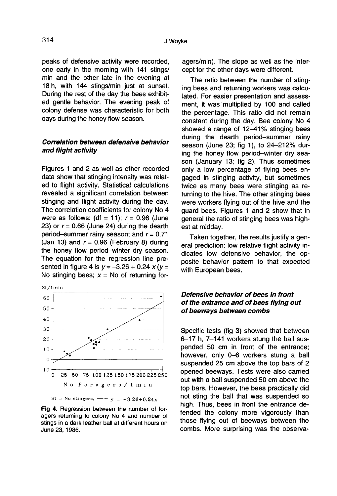peaks of defensive activity were recorded, one early in the morning with 141 stings/ min and the other late in the evening at 18 h, with 144 stings/min just at sunset. During the rest of the day the bees exhibited gentle behavior. The evening peak of colony defense was characteristic for both days during the honey flow season.

#### Correlation between defensive behavior and flight activity

Figures 1 and 2 as well as other recorded data show that stinging intensity was related to flight activity. Statistical calculations revealed a significant correlation between stinging and flight activity during the day. The correlation coefficients for colony No 4 were as follows: (df = 11);  $r = 0.96$  (June 23) or  $r = 0.66$  (June 24) during the dearth period-summer rainy season; and  $r = 0.71$ (Jan 13) and  $r = 0.96$  (February 8) during the honey flow period-winter dry season. The equation for the regression line presented in figure 4 is  $y = -3.26 + 0.24 x (y =$ No stinging bees;  $x = No$  of returning for-



Fig 4. Regression between the number of foragers returning to colony No 4 and number of stings in a dark leather ball at different hours on June 23, 1986.

agers/min). The slope as well as the intercept for the other days were different.

The ratio between the number of stinging bees and returning workers was calculated. For easier presentation and assessment, it was multiplied by 100 and called the percentage. This ratio did not remain constant during the day. Bee colony No 4 showed a range of 12-41% stinging bees during the dearth period-summer rainy season (June 23; fig 1), to 24-212% during the honey flow period-winter dry season (January 13; fig 2). Thus sometimes only a low percentage of flying bees engaged in stinging activity, but sometimes twice as many bees were stinging as returning to the hive. The other stinging bees were workers flying out of the hive and the guard bees. Figures 1 and 2 show that in general the ratio of stinging bees was high est at midday.

Taken together, the results justify a general prediction: low relative flight activity indicates low defensive behavior, the opposite behavior pattern to that expected with European bees.

## Defensive behavior of bees in front of the entrance and of bees flying out of beeways between combs

Specific tests (fig 3) showed that between 6-17 h, 7-141 workers stung the ball suspended 50 cm in front of the entrance; however, only 0-6 workers stung a ball suspended 25 cm above the top bars of 2 opened beeways. Tests were also carried out with a ball suspended 50 cm above the top bars. However, the bees practically did not sting the ball that was suspended so high. Thus, bees in front the entrance defended the colony more vigorously than those flying out of beeways between the combs. More surprising was the observa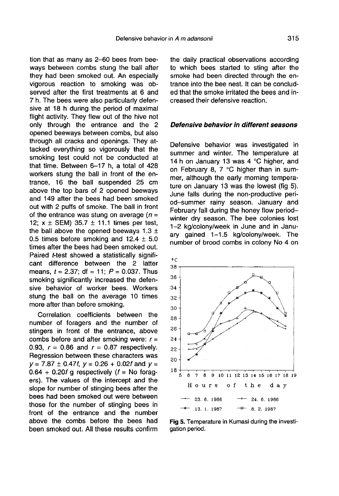tion that as many as 2-60 bees from beeways between combs stung the ball after they had been smoked out. An especially vigorous reaction to smoking was observed after the first treatments at 6 and 7 h. The bees were also particularly defensive at 18 h during the period of maximal flight activity. They flew out of the hive not only through the entrance and the 2 opened beeways between combs, but also through all cracks and openings. They attacked everything so vigorously that the smoking test could not be conducted at that time. Between 6-17 h, a total of 428 workers stung the ball in front of the entrance, 16 the ball suspended 25 cm above the top bars of 2 opened beeways and 149 after the bees had been smoked out with 2 puffs of smoke. The ball in front of the entrance was stung on average  $(n =$ 12;  $x \pm$  SEM) 35.7  $\pm$  11.1 times per test, the ball above the opened beeways  $1.3 \pm$ 0.5 times before smoking and  $12.4 \pm 5.0$ times after the bees had been smoked out. Paired t-test showed a statistically significant difference between the 2 latter means,  $t = 2.37$ ; df = 11;  $P = 0.037$ . Thus smoking significantly increased the defensive behavior of worker bees. Workers stung the ball on the average 10 times more after than before smoking.

Correlation coefficients between the number of foragers and the number of stingers in front of the entrance, above combs before and after smoking were:  $r =$ 0.93,  $r = 0.86$  and  $r = 0.87$  respectively. Regression between these characters was  $y = 7.87 \pm 0.47f$ ,  $y = 0.26 + 0.02f$  and  $y =$  $0.64 + 0.20f$  g respectively ( $f =$  No foragers). The values of the intercept and the slope for number of stinging bees after the bees had been smoked out were between those for the number of stinging bees in front of the entrance and the number above the combs before the bees had been smoked out. All these results confirm the daily practical observations according to which bees started to sting after the smoke had been directed through the entrance into the bee nest. It can be concluded that the smoke irritated the bees and increased their defensive reaction.

#### Defensive behavior in different seasons

Defensive behavior was investigated in summer and winter. The temperature at 14 h on January 13 was 4 °C higher, and on February 8, 7 °C higher than in summer, although the early morning temperature on January 13 was the lowest (fig 5). June falls during the non-productive period-summer rainy season. January and February fall during the honey flow periodwinter dry season. The bee colonies lost 1-2 kg/colony/week in June and in January gained 1-1.5 kg/colony/week. The number of brood combs in colony No 4 on



Fig 5. Temperature in Kumasi during the investigation period.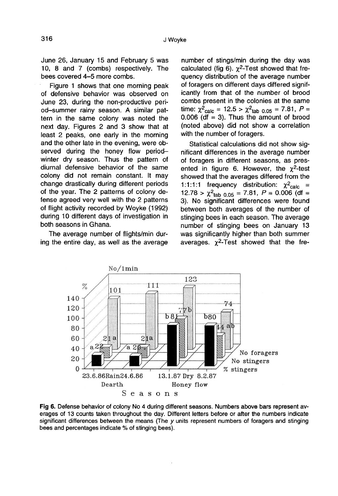June 26, January 15 and February 5 was 10, 8 and 7 (combs) respectively. The bees covered 4—5 more combs.

Figure 1 shows that one morning peak of defensive behavior was observed on June 23, during the non-productive period-summer rainy season. A similar pattern in the same colony was noted the next day. Figures 2 and 3 show that at least 2 peaks, one early in the morning and the other late in the evening, were observed during the honey flow periodwinter dry season. Thus the pattern of diurnal defensive behavior of the same colony did not remain constant. It may change drastically during different periods of the year. The 2 patterns of colony defense agreed very well with the 2 patterns of flight activity recorded by Woyke (1992) during 10 different days of investigation in both seasons in Ghana.

The average number of flights/min during the entire day, as well as the average

number of stings/min during the day was calculated (fig 6).  $\chi^2$ -Test showed that frequency distribution of the average number of foragers on different days differed significantly from that of the number of brood combs present in the colonies at the same time:  $\chi^2_{\text{calc}} = 12.5 > \chi^2_{\text{tab 0.05}} = 7.81, P =$  $0.006$  (df = 3). Thus the amount of brood (noted above) did not show a correlation with the number of foragers.

Statistical calculations did not show significant differences in the average number of foragers in different seasons, as presented in figure 6. However, the  $\chi^2$ -test showed that the averages differed from the 1:1:1:1 frequency distribution:  $\chi^2_{\text{calc}}$  =  $12.78 > \chi^2$ <sub>tab</sub>  $_{0.05} = 7.81$ ,  $P = 0.006$  (df = 3). No significant differences were found between both averages of the number of stinging bees in each season. The average number of stinging bees on January 13 was significantly higher than both summer sunging bees in each season. The average<br>number of stinging bees on January 13<br>was significantly higher than both summer<br>averages.  $\chi^2$ -Test showed that the fre-



Fig 6. Defense behavior of colony No 4 during different seasons. Numbers above bars represent averages of 13 counts taken throughout the day. Different letters before or after the numbers indicate significant differences between the means (The y units represent numbers of foragers and stinging bees and percentages indicate % of stinging bees).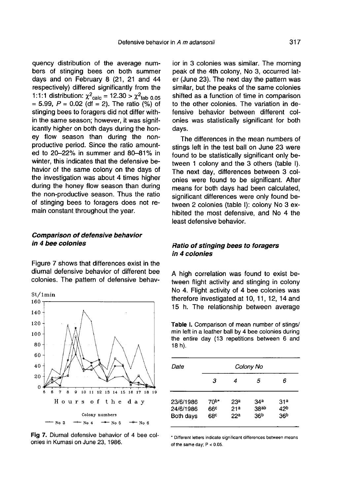quency distribution of the average numbers of stinging bees on both summer days and on February 8 (21, 21 and 44 respectively) differed significantly from the 1:1:1 distribution:  $\chi^2_{\text{calc}} = 12.30 > \chi^2_{\text{tab 0.05}}$  $= 5.99, P = 0.02$  (df  $= 2$ ). The ratio (%) of stinging bees to foragers did not differ within the same season; however, it was significantly higher on both days during the honey flow season than during the nonproductive period. Since the ratio amounted to 20-22% in summer and 80-81% in winter, this indicates that the defensive behavior of the same colony on the days of the investigation was about 4 times higher during the honey flow season than during the non-productive season. Thus the ratio of stinging bees to foragers does not remain constant throughout the year.

#### Comparison of defensive behavior in 4 bee colonies

Figure 7 shows that differences exist in the diurnal defensive behavior of different bee colonies. The pattern of defensive behav-



Fig 7. Diurnal defensive behavior of 4 bee colonies in Kumasi on June 23, 1986.

ior in 3 colonies was similar. The morning peak of the 4th colony, No 3, occurred later (June 23). The next day the pattern was similar, but the peaks of the same colonies shifted as a function of time in comparison to the other colonies. The variation in defensive behavior between different colonies was statistically significant for both days.

The differences in the mean numbers of stings left in the test ball on June 23 were found to be statistically significant only between 1 colony and the 3 others (table I). The next day, differences between 3 colonies were found to be significant. After means for both days had been calculated, significant differences were only found between 2 colonies (table I): colony No 3 exhibited the most defensive, and No 4 the least defensive behavior.

#### Ratio of stinging bees to foragers in 4 colonies

A high correlation was found to exist between flight activity and stinging in colony No 4. Flight activity of 4 bee colonies was therefore investigated at 10, 11, 12, 14 and 15 h. The relationship between average

Table I. Comparison of mean number of stings/ min left in a leather ball by 4 bee colonies during the entire day (13 repetitions between 6 and 18 h).

| Date      | Colony No        |                 |                  |                 |  |  |
|-----------|------------------|-----------------|------------------|-----------------|--|--|
|           | з                | 4               | 5                | 6               |  |  |
| 23/6/1986 | 70 <sup>b*</sup> | 23 <sup>a</sup> | 34 <sup>a</sup>  | 31 <sup>a</sup> |  |  |
| 24/6/1986 | 66 <sup>c</sup>  | 21 <sup>a</sup> | 38 <sub>ab</sub> | 42 <sup>b</sup> |  |  |
| Both days | 68°              | 22 <sup>a</sup> | 36 <sup>b</sup>  | 36 <sup>b</sup> |  |  |

\* Different letters indicate significant differences between means of the same day;  $P < 0.05$ .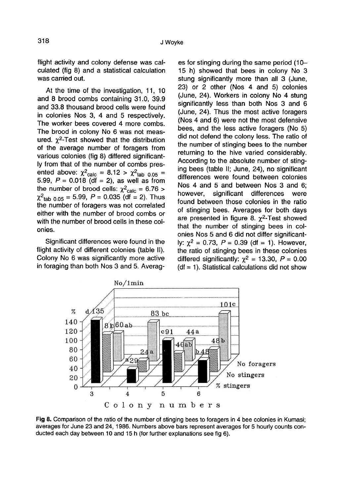flight activity and colony defense was calculated (fig 8) and a statistical calculation was carried out.

At the time of the investigation, 11, 10 and 8 brood combs containing 31.0, 39.9 and 33.8 thousand brood cells were found in colonies Nos 3, 4 and 5 respectively. The worker bees covered 4 more combs. The brood in colony No 6 was not measured.  $\gamma^2$ -Test showed that the distribution In colonies ivos 3, 4 and 5 respectively.<br>The worker bees covered 4 more combs.<br>The brood in colony No 6 was not meas-<br>ured.  $\chi^2$ -Test showed that the distribution<br>of the average number of foragers from of the average number of foragers from various colonies (fig 8) differed significantly from that of the number of combs presof the average number of toragers from<br>various colonies (fig 8) differed significant-<br>ly from that of the number of combs pres-<br>ented above:  $\chi^2$ <sub>calc</sub> = 8.12 >  $\chi^2$ <sub>tab 0.05</sub> =<br>5.99,  $P = 0.018$  (df = 2), as well as the number of brood cells:  $\chi^2_{\text{calc}} = 6.76 > \chi^2_{\text{tab 0.05}} = 5.99, P = 0.035 \text{ (df = 2).}$  Thus the number of foragers was not correlated either with the number of brood combs or with the number of brood cells in these colonies.

Significant differences were found in the flight activity of different colonies (table II). Colony No 6 was significantly more active in foraging than both Nos 3 and 5. Averag-

es for stinging during the same period (10- 15 h) showed that bees in colony No 3 stung significantly more than all 3 (June, 23) or 2 other (Nos 4 and 5) colonies (June, 24). Workers in colony No 4 stung significantly less than both Nos 3 and 6 (June, 24). Thus the most active foragers (Nos 4 and 6) were not the most defensive bees, and the less active foragers (No 5) did not defend the colony less. The ratio of the number of stinging bees to the number returning to the hive varied considerably. According to the absolute number of stinging bees (table II; June, 24), no significant differences were found between colonies Nos 4 and 5 and between Nos 3 and 6; however, significant differences were found between those colonies in the ratio of stinging bees. Averages for both days are presented in figure 8.  $\gamma^2$ -Test showed that the number of stinging bees in colonies Nos 5 and 6 did not differ significantly:  $\chi^2 = 0.73$ ,  $P = 0.39$  (df = 1). However, the ratio of stinging bees in these colonies differed significantly:  $\chi^2 = 13.30$ ,  $P = 0.00$  $(df = 1)$ . Statistical calculations did not show



Fig 8. Comparison of the ratio of the number of stinging bees to foragers in 4 bee colonies in Kumasi; averages for June 23 and 24, 1986. Numbers above bars represent averages for 5 hourly counts conducted each day between 10 and 15 h (for further explanations see fig 6).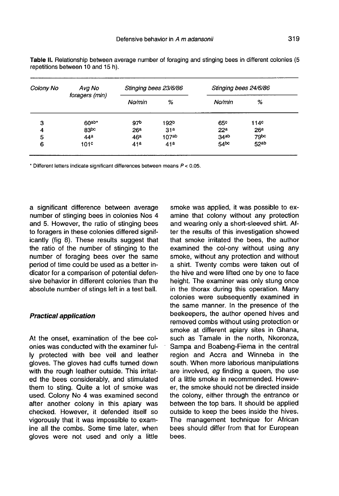| Colony No | Avg No<br>foragers (min) | Stinging bees 23/6/86 |                   | Stinging bees 24/6/86 |                  |
|-----------|--------------------------|-----------------------|-------------------|-----------------------|------------------|
|           |                          | No/min                | %                 | No/min                | %                |
| 3         | $60^{ab*}$               | 97 <sup>b</sup>       | 192 <sup>b</sup>  | 65 <sup>c</sup>       | 114 <sup>c</sup> |
| 4         | 83bc                     | 26 <sup>a</sup>       | 31 <sup>a</sup>   | 22 <sup>a</sup>       | 26 <sup>a</sup>  |
| 5         | 44 <sup>a</sup>          | 46 <sup>a</sup>       | 107 <sub>ab</sub> | 34ab                  | 79 <sub>bc</sub> |
| 6         | 101c                     | 41a                   | 41a               | 54 <sup>bc</sup>      | 52ab             |

Table II. Relationship between average number of foraging and stinging bees in different colonies (5 repetitions between 10 and 15 h).

\* Different letters indicate significant differences between means  $P < 0.05$ .

a significant difference between average number of stinging bees in colonies Nos 4 and 5. However, the ratio of stinging bees to foragers in these colonies differed significantly (fig 8). These results suggest that the ratio of the number of stinging to the number of foraging bees over the same period of time could be used as a better indicator for a comparison of potential defensive behavior in different colonies than the absolute number of stings left in a test ball.

#### Practical application

At the onset, examination of the bee colonies was conducted with the examiner fully protected with bee veil and leather gloves. The gloves had cuffs turned down with the rough leather outside. This irritated the bees considerably, and stimulated them to sting. Quite a lot of smoke was used. Colony No 4 was examined second after another colony in this apiary was checked. However, it defended itself so vigorously that it was impossible to examine all the combs. Some time later, when gloves were not used and only a little

smoke was applied, it was possible to examine that colony without any protection and wearing only a short-sleeved shirt. After the results of this investigation showed that smoke irritated the bees, the author examined the col-ony without using any smoke, without any protection and without a shirt. Twenty combs were taken out of the hive and were lifted one by one to face height. The examiner was only stung once in the thorax during this operation. Many colonies were subsequently examined in the same manner. In the presence of the beekeepers, the author opened hives and removed combs without using protection or smoke at different apiary sites in Ghana, such as Tamale in the north, Nkoronza, Sampa and Boabeng-Fiema in the central region and Accra and Winneba in the south. When more laborious manipulations are involved, eg finding a queen, the use of a little smoke in recommended. However, the smoke should not be directed inside the colony, either through the entrance or between the top bars. It should be applied outside to keep the bees inside the hives. The management technique for African bees should differ from that for European bees.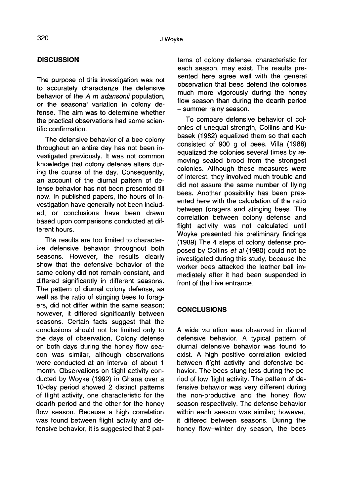# **DISCUSSION**

The purpose of this investigation was not to accurately characterize the defensive behavior of the A m adansonii population. or the seasonal variation in colony defense. The aim was to determine whether the practical observations had some scientific confirmation.

The defensive behavior of a bee colony throughout an entire day has not been investigated previously. It was not common knowledge that colony defense alters during the course of the day. Consequently, an account of the diurnal pattern of defense behavior has not been presented till now. In published papers, the hours of investigation have generally not been included, or conclusions have been drawn based upon comparisons conducted at different hours.

The results are too limited to characterize defensive behavior throughout both seasons. However, the results clearly show that the defensive behavior of the same colony did not remain constant, and differed significantly in different seasons. The pattern of diurnal colony defense, as well as the ratio of stinging bees to foragers, did not differ within the same season; however, it differed significantly between seasons. Certain facts suggest that the conclusions should not be limited only to the days of observation. Colony defense on both days during the honey flow season was similar, although observations were conducted at an interval of about 1 month. Observations on flight activity conducted by Woyke (1992) in Ghana over a 10-day period showed 2 distinct patterns of flight activity, one characteristic for the dearth period and the other for the honey flow season. Because a high correlation was found between flight activity and defensive behavior, it is suggested that 2 pat-

terns of colony defense, characteristic for each season, may exist. The results presented here agree well with the general observation that bees defend the colonies much more vigorously during the honey flow season than during the dearth period - summer rainy season.

To compare defensive behavior of colonies of unequal strength, Collins and Kubasek (1982) equalized them so that each consisted of 900 g of bees. Villa (1988) equalized the colonies several times by removing sealed brood from the strongest colonies. Although these measures were of interest, they involved much trouble and did not assure the same number of flying bees. Another possibility has been presented here with the calculation of the ratio between foragers and stinging bees. The correlation between colony defense and flight activity was not calculated until Woyke presented his preliminary findings (1989) The 4 steps of colony defense proposed by Collins et al (1980) could not be investigated during this study, because the worker bees attacked the leather ball immediately after it had been suspended in front of the hive entrance.

#### **CONCLUSIONS**

A wide variation was observed in diurnal defensive behavior. A typical pattern of diurnal defensive behavior was found to exist. A high positive correlation existed between flight activity and defensive behavior. The bees stung less during the period of low flight activity. The pattern of defensive behavior was very different during the non-productive and the honey flow season respectively. The defense behavior within each season was similar; however, it differed between seasons. During the honey flow-winter dry season, the bees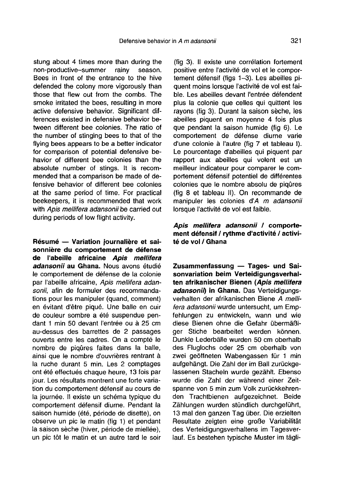stung about 4 times more than during the<br>non-productive-summer rainy season. non-productive-summer Bees in front of the entrance to the hive defended the colony more vigorously than those that flew out from the combs. The smoke irritated the bees, resulting in more active defensive behavior. Significant differences existed in defensive behavior between different bee colonies. The ratio of the number of stinging bees to that of the flying bees appears to be a better indicator for comparison of potential defensive behavior of different bee colonies than the absolute number of stings. It is recommended that a comparison be made of defensive behavior of different bee colonies at the same period of time. For practical beekeepers, it is recommended that work with Apis mellifera adansonii be carried out during periods of low flight activity.

Résumé — Variation journalière et saisonnière du comportement de défense de l'abeille africaine Apis mellifera adansonii au Ghana. Nous avons étudié le comportement de défense de la colonie par l'abeille africaine, Apis mellifera adansonii, afin de formuler des recommandations pour les manipuler (quand, comment) en évitant d'être piqué. Une balle en cuir de couleur sombre a été suspendue pendant 1 min 50 devant l'entrée ou à 25 cm au-dessus des barrettes de 2 passages ouverts entre les cadres. On a compté le nombre de piqûres faites dans la balle, ainsi que le nombre d'ouvrières rentrant à la ruche durant 5 min. Les 2 comptages ont été effectués chaque heure, 13 fois par jour. Les résultats montrent une forte variation du comportement défensif au cours de la journée. Il existe un schéma typique du comportement défensif diurne. Pendant la saison humide (été, période de disette), on observe un pic le matin (fig 1) et pendant la saison sèche (hiver, période de miellée), un pic tôt le matin et un autre tard le soir

(fig 3). Il existe une corrélation fortement positive entre l'activité de vol et le comportement défensif (figs 1-3). Les abeilles piquent moins lorsque l'activité de vol est faible. Les abeilles devant l'entrée défendent plus la colonie que celles qui quittent les rayons (fig 3). Durant la saison sèche, les abeilles piquent en moyenne 4 fois plus que pendant la saison humide (fig 6). Le comportement de défense diurne varie d'une colonie à l'autre (fig 7 et tableau I). Le pourcentage d'abeilles qui piquent par rapport aux abeilles qui volent est un meilleur indicateur pour comparer le comportement défensif potentiel de différentes colonies que le nombre absolu de piqûres (fig 8 et tableau II). On recommande de manipuler les colonies d'A m adansonii lorsque l'activité de vol est faible.

#### Apis mellifera adansonii / comportement défensif / rythme d'activité / activité de vol / Ghana

Zusammenfassung — Tages- und Saisonvariation beim Verteidigungsverhalten afrikanischer Bienen (Apis mellifera adansonin in Ghana. Das Verteidigungsverhalten der afrikanischen Biene A mellifera adansonii wurde untersucht, um Empfehlungen zu entwickeln, wann und wie diese Bienen ohne die Gefahr übermäßiger Stiche bearbeitet werden können. Dunkle Lederbälle wurden 50 cm oberhalb des Fluglochs oder 25 cm oberhalb von zwei geöffneten Wabengassen für 1 min aufgehängt. Die Zahl der im Ball zurückgelassenen Stacheln wurde gezählt. Ebenso wurde die Zahl der während einer Zeitspanne von 5 min zum Volk zurückkehrenden Trachtbienen aufgezeichnet. Beide Zählungen wurden stündlich durchgeführt, 13 mal den ganzen Tag über. Die erzielten Resultate zeigten eine große Variabilität des Verteidigungsverhaltens im Tagesverlauf. Es bestehen typische Muster im tägli-